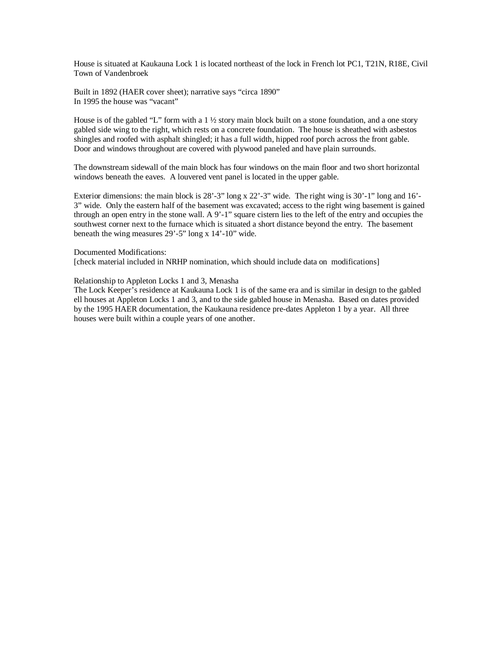House is situated at Kaukauna Lock 1 is located northeast of the lock in French lot PC1, T21N, R18E, Civil Town of Vandenbroek

Built in 1892 (HAER cover sheet); narrative says "circa 1890" In 1995 the house was "vacant"

House is of the gabled "L" form with a  $1\frac{1}{2}$  story main block built on a stone foundation, and a one story gabled side wing to the right, which rests on a concrete foundation. The house is sheathed with asbestos shingles and roofed with asphalt shingled; it has a full width, hipped roof porch across the front gable. Door and windows throughout are covered with plywood paneled and have plain surrounds.

The downstream sidewall of the main block has four windows on the main floor and two short horizontal windows beneath the eaves. A louvered vent panel is located in the upper gable.

Exterior dimensions: the main block is  $28' - 3''$  long x  $22' - 3''$  wide. The right wing is  $30' - 1''$  long and  $16'$ -3" wide. Only the eastern half of the basement was excavated; access to the right wing basement is gained through an open entry in the stone wall. A 9'-1" square cistern lies to the left of the entry and occupies the southwest corner next to the furnace which is situated a short distance beyond the entry. The basement beneath the wing measures 29'-5" long x 14'-10" wide.

# Documented Modifications:

[check material included in NRHP nomination, which should include data on modifications]

# Relationship to Appleton Locks 1 and 3, Menasha

The Lock Keeper's residence at Kaukauna Lock 1 is of the same era and is similar in design to the gabled ell houses at Appleton Locks 1 and 3, and to the side gabled house in Menasha. Based on dates provided by the 1995 HAER documentation, the Kaukauna residence pre-dates Appleton 1 by a year. All three houses were built within a couple years of one another.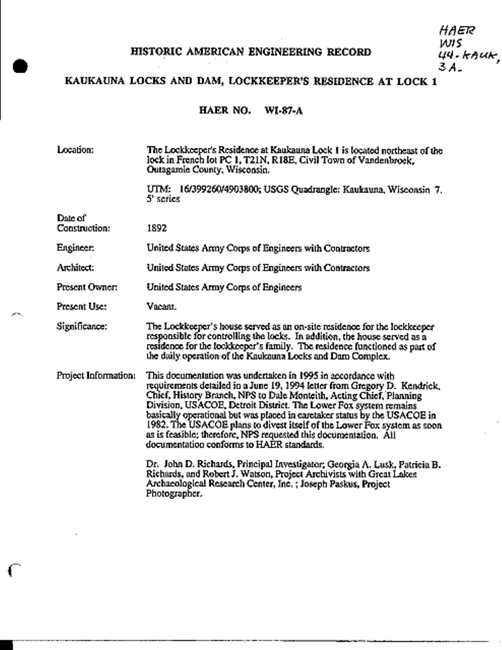## HISTORIC AMERICAN ENGINEERING RECORD

## KAUKAUNA LOCKS AND DAM, LOCKKEEPER'S RESIDENCE AT LOCK 1

#### HAER NO. WI-87-A

Location: The Lockkeeper's Residence at Kaukauna Lock 1 is located northeast of the lock in French lot PC 1, T21N, R18E, Civil Town of Vandenbrock, Qutagamie County, Wisconsin.

> UTM: 16/399260/4903800; USGS Quadrangle: Kaukauna, Wisconsin 7. 5' series

Construction: 1892

Date of

Engineer: United States Army Corps of Engineers with Contractors

Architect: United States Army Corps of Engineers with Contractors

Present Owner: United States Army Corps of Engineers

Present Use: Vacant.

Significance: The Lockkeeper's house served as an on-site residence for the lockkeeper responsible for controlling the locks. In addition, the house served as a residence for the lockkeeper's family. The residence functioned as part of the daily operation of the Kaukauna Locks and Dam Complex.

Project Information: This documentation was undertaken in 1995 in accordance with requirements detailed in a June 19, 1994 letter from Gregory D. Kendrick, Chief, History Branch, NPS to Dale Monteith, Acting Chief, Planning Division, USACOE, Detroit District. The Lower Fox system remains basically operational but was placed in caretaker status by the USACOE in 1982. The USACOE plans to divest itself of the Lower Fox system as soon as is feasible; therefore, NPS requested this documentation. All documentation conforms to HAER standards.

> Dr. John D. Richards, Principal Investigator; Georgia A. Lusk, Patricia B. Richards, and Robert J. Watson, Project Archivists with Great Lakes Archaeological Research Center, Inc.; Joseph Paskus, Project Photographer.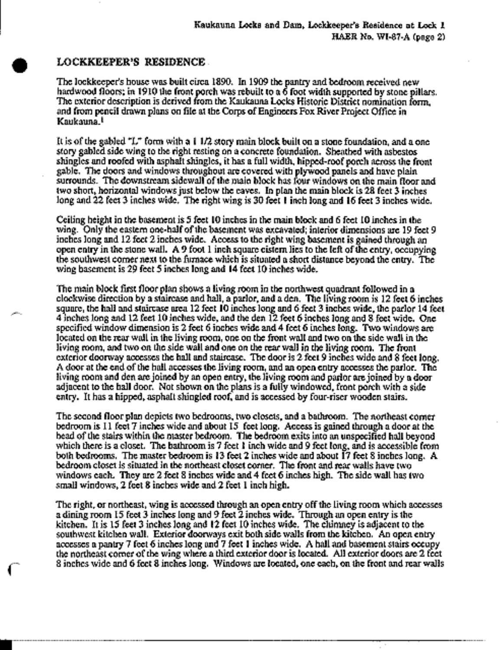### LOCKKEEPER'S RESIDENCE.

The lockkeeper's house was built circa 1890. In 1909 the pantry and bedroom received new hardwood floors; in 1910 the front porch was rebuilt to a 6 foot width supported by stone pillars. The exterior description is derived from the Kaukauna Locks Historic District nomination form. and from pencil drawn plans on file at the Corps of Engineers Fox River Project Office in Kaukauna.<sup>t</sup>

It is of the gabled "L" form with a 1  $1/2$  story main block built on a stone foundation, and a one story gabled side wing to the right resting on a concrete foundation. Sheathed with asbestos shingles and roofed with asphalt shingles, it has a full width, hipped-roof porch across the front gable. The doors and windows throughout are covered with plywood panels and have plain surrounds. The downstream sidewall of the main block has four windows on the main floor and two short, horizontal windows just below the caves. In plan the main block is 28 feet 3 inches long and 22 feet 3 inches wide. The right wing is 30 feet 1 inch long and 16 feet 3 inches wide.

Ceiling beight in the basement is 5 feet 10 inches in the main block and 6 feet 10 inches in the wing. Only the eastern one-half of the basement was excavated; interior dimensions are 19 feet 9 inches long and 12 feet 2 inches wide. Access to the right wing basement is gained through an open entry in the stone wall. A 9 foot 1 inch square cistem lies to the left of the entry, occupying the southwest comer next to the furnace which is situated a short distance beyond the entry. The wing basement is 29 feet 5 inches long and 14 feet 10 inches wide.

The main block first floor plan shows a living room in the northwest quadrant followed in a clockwise direction by a staircase and hall, a parlor, and a den. The living room is 12 feet 6 inches square, the hall and staircase area 12 feet 10 inches long and 6 feet 3 inches wide, the parlor 14 feet 4 inches long and 12 feet 10 inches wide, and the den 12 feet 6 inches long and 8 feet wide. One specified window dimension is 2 feet 6 inches wide and 4 feet 6 inches long. Two windows are located on the rear wall in the living room, one on the front wall and two on the side wall in the living room, and two on the side wall and one on the rear wall in the living room. The front exterior doorway accesses the hall and staircase. The door is 2 feet 9 inches wide and 8 feet long. A door at the end of the hall accesses the living room, and an open entry accesses the parlor. The living room and den are joined by an open entry, the living room and parlor are joined by a door adjacent to the hall door. Not shown on the plans is a fully windowed, front porch with a side entry. It has a hipped, asphalt shingled roof, and is accessed by four-riser wooden stairs.

The second floor plan depicts two bedrooms, two closets, and a bathroom. The northeast comerbedroom is 11 feet 7 inches wide and about 15 feet long. Access is gained through a door at the bead of the stairs within the master bedroom. The bedroom exits into an unspecified hall beyond which there is a closet. The bathroom is 7 feet 1 inch wide and 9 feet long, and is accessible from both bedrooms. The master bedroom is 13 feet 2 inches wide and about 17 feet 8 inches long. A bedroom closet is situated in the northeast closet corner. The front and rear walls have two windows each. They are 2 feet 8 inches wide and 4 feet 6 inches high. The side wall has two small windows, 2 feet 8 inches wide and 2 feet 1 inch high.

The right, or northeast, wing is accessed through an open entry off the living room which accesses a dining room 15 feet 3 inches long and 9 feet 2 inches wide. Through an open entry is the kitchen. It is 15 feet 3 inches long and 12 feet 10 inches wide. The chimney is adjacent to the southwest kitchen wall. Exterior doorways exit both side walls from the kitchen. An open entry accesses a pantry 7 feet 6 inches long and 7 feet 1 inches wide. A hall and basement stairs occupy the northeast corner of the wing where a third exterior door is located. All exterior doors are 2 feet 8 inches wide and 6 feet 8 inches long. Windows are located, one each, on the front and rear walls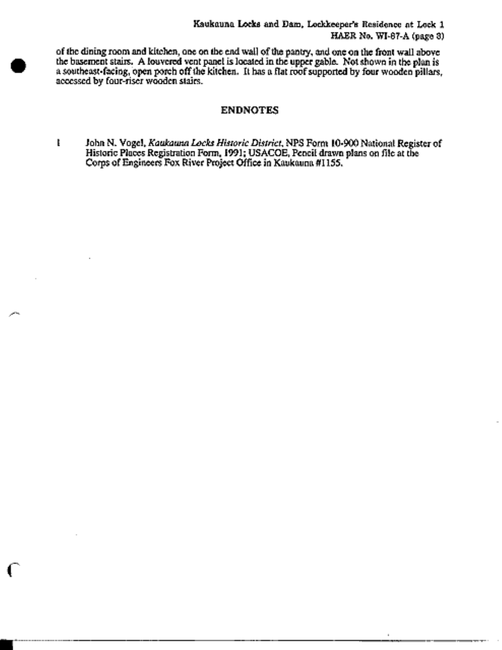of the dining room and kitchen, one on the end wall of the pantry, and one on the front wall above the basement stairs. A louvered vent panel is located in the upper gable. Not shown in the plan is a southeast-facing, open porch off the kitchen. It has a flat roof supported by four wooden pillars, accessed by four-riser wooden stairs.

### **ENDNOTES**

t John N. Vogel, Kaukauna Locks Historic District, NPS Form 10-900 National Register of Historic Places Registration Form, 1991; USACOE, Pencil drawn plans on file at the Corps of Engineers Fox River Project Office in Kaukauna #1155.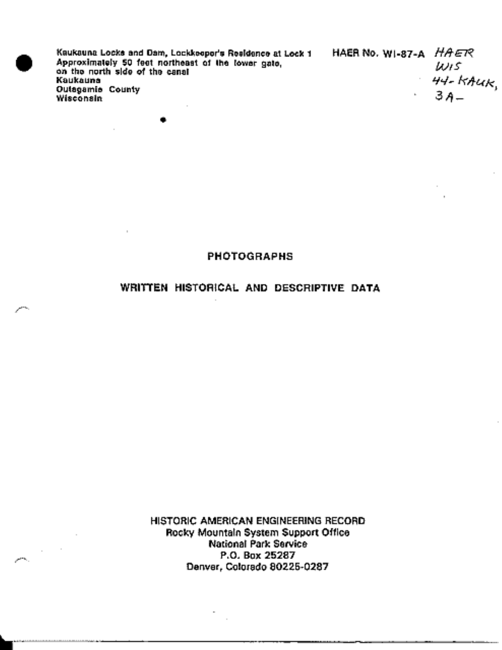Kauksuna Locks and Dam, Lockkeeper's Residence at Lock 1 Approximately 50 feet northeast of the lower gate,<br>on the north side of the canal Kaukauna **Outagamia County** Wisconsin

HAER No. WI-87-A HAER Wis 44-клик,<br>3 А—

### **PHOTOGRAPHS**

# WRITTEN HISTORICAL AND DESCRIPTIVE DATA

HISTORIC AMERICAN ENGINEERING RECORD Rocky Mountain System Support Office **National Park Service** P.O. Box 25287 Denver, Colorado 80225-0287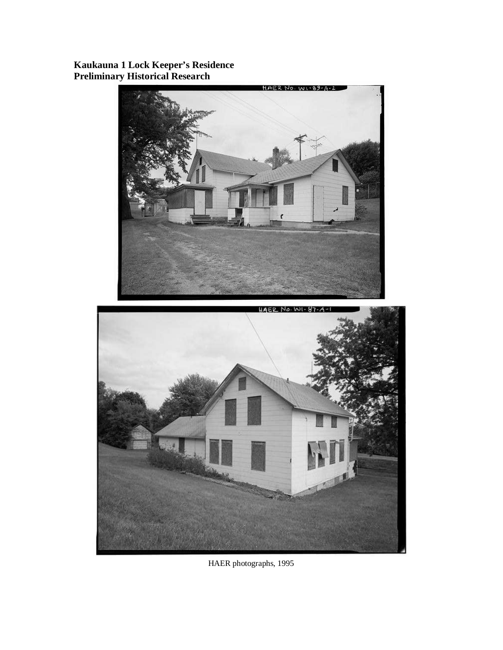**Kaukauna 1 Lock Keeper's Residence Preliminary Historical Research** 





HAER photographs, 1995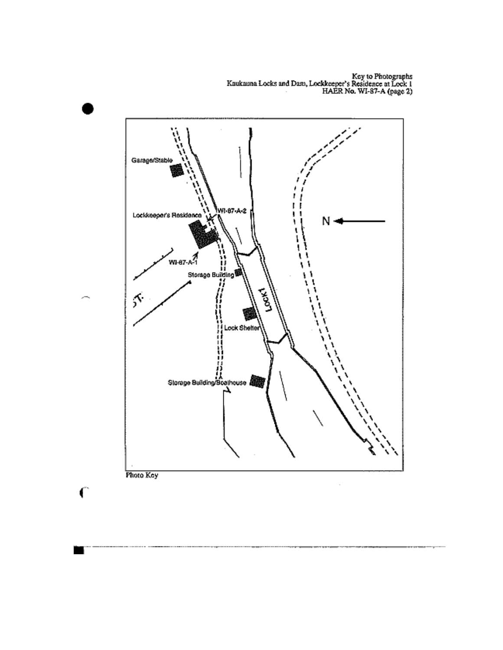Key to Photographs<br>Kaukauna Locks and Dam, Lockkeeper's Residence at Lock 1<br>HAER No. WI-87-A (page 2)